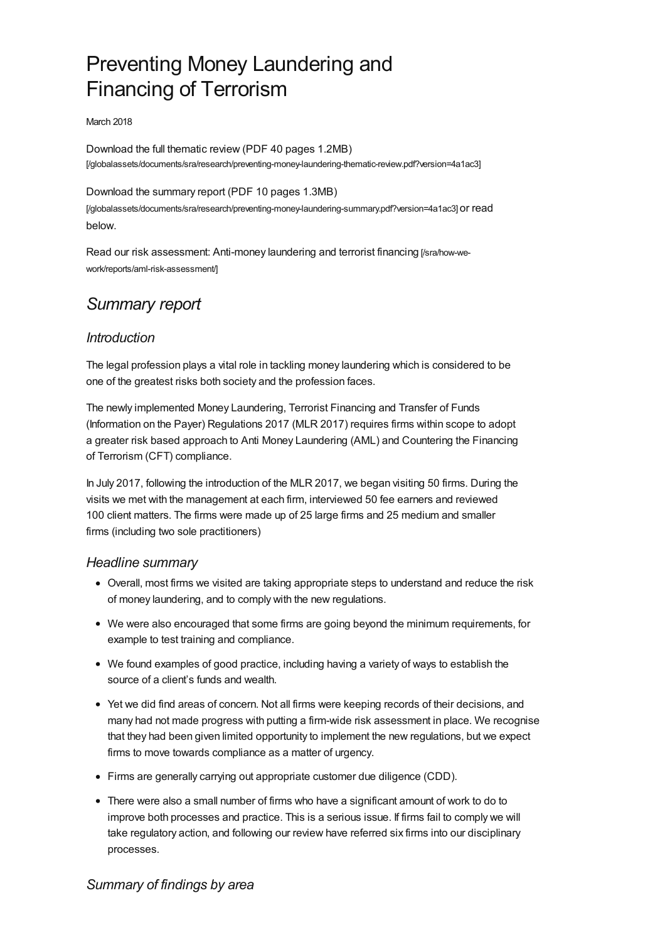# Preventing Money Laundering and Financing of Terrorism

#### March 2018

Download the full thematic review (PDF 40 pages 1.2MB) [\[/globalassets/documents/sra/research/preventing-money-laundering-thematic-review.pdf?version=4a1ac3\]](https://www.sra.org.uk/globalassets/documents/sra/research/preventing-money-laundering-thematic-review.pdf?version=4a1ac3)

Download the summary report (PDF 10 pages 1.3MB)

[\[/globalassets/documents/sra/research/preventing-money-laundering-summary.pdf?version=4a1ac3\]](https://www.sra.org.uk/globalassets/documents/sra/research/preventing-money-laundering-summary.pdf?version=4a1ac3) or read below.

Read our risk assessment: Anti-money laundering and terrorist financing [/sra/how-we[work/reports/aml-risk-assessment/\]](https://www.sra.org.uk/sra/how-we-work/reports/aml-risk-assessment/)

## *Summary report*

## *Introduction*

The legal profession plays a vital role in tackling money laundering which is considered to be one of the greatest risks both society and the profession faces.

The newly implemented Money Laundering, Terrorist Financing and Transfer of Funds (Information on the Payer) Regulations 2017 (MLR 2017) requires firms within scope to adopt a greater risk based approach to Anti Money Laundering (AML) and Countering the Financing of Terrorism (CFT) compliance.

In July 2017, following the introduction of the MLR 2017, we began visiting 50 firms. During the visits we met with the management at each firm, interviewed 50 fee earners and reviewed 100 client matters. The firms were made up of 25 large firms and 25 medium and smaller firms (including two sole practitioners)

## *Headline summary*

- Overall, most firms we visited are taking appropriate steps to understand and reduce the risk of money laundering, and to comply with the new regulations.
- We were also encouraged that some firms are going beyond the minimum requirements, for example to test training and compliance.
- We found examples of good practice, including having a variety of ways to establish the source of a client's funds and wealth.
- Yet we did find areas of concern. Not all firms were keeping records of their decisions, and many had not made progress with putting a firm-wide risk assessment in place. We recognise that they had been given limited opportunity to implement the new regulations, but we expect firms to move towards compliance as a matter of urgency.
- Firms are generally carrying out appropriate customer due diligence (CDD).
- There were also a small number of firms who have a significant amount of work to do to improve both processes and practice. This is a serious issue. If firms fail to comply we will take regulatory action, and following our review have referred six firms into our disciplinary processes.

## *Summary of findings by area*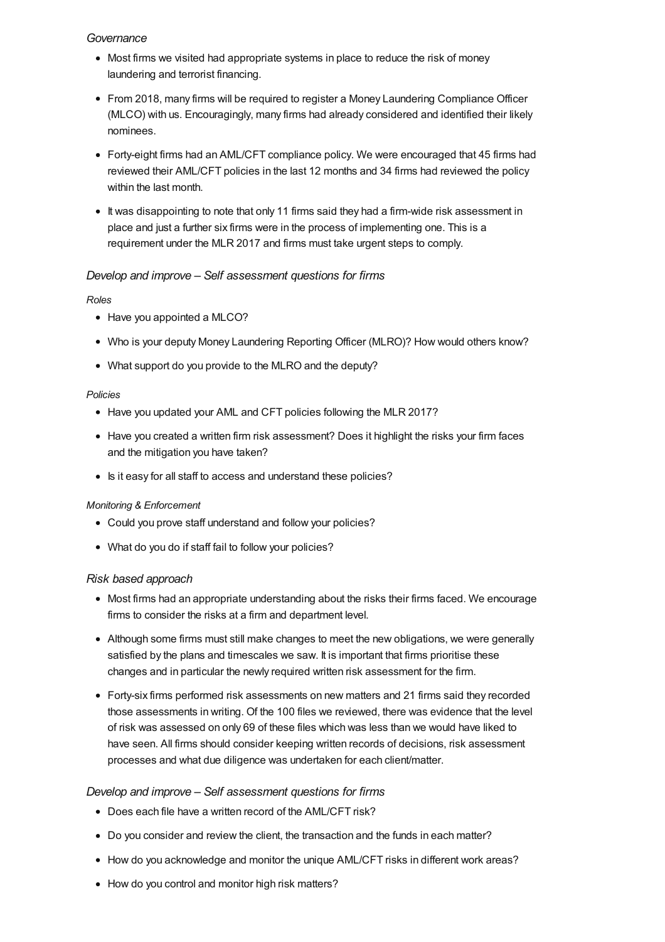#### *Governance*

- Most firms we visited had appropriate systems in place to reduce the risk of money laundering and terrorist financing.
- From 2018, many firms will be required to register a Money Laundering Compliance Officer (MLCO) with us. Encouragingly, many firms had already considered and identified their likely nominees.
- Forty-eight firms had an AML/CFT compliance policy. We were encouraged that 45 firms had reviewed their AML/CFT policies in the last 12 months and 34 firms had reviewed the policy within the last month.
- It was disappointing to note that only 11 firms said they had a firm-wide risk assessment in place and just a further six firms were in the process of implementing one. This is a requirement under the MLR 2017 and firms must take urgent steps to comply.

## *Develop and improve – Self assessment questions for firms*

#### *Roles*

- Have you appointed a MLCO?
- Who is your deputy Money Laundering Reporting Officer (MLRO)? How would others know?
- What support do you provide to the MLRO and the deputy?

#### *Policies*

- Have you updated your AML and CFT policies following the MLR 2017?
- Have you created a written firm risk assessment? Does it highlight the risks your firm faces and the mitigation you have taken?
- Is it easy for all staff to access and understand these policies?

#### *Monitoring & Enforcement*

- Could you prove staff understand and follow your policies?
- What do you do if staff fail to follow your policies?

#### *Risk based approach*

- Most firms had an appropriate understanding about the risks their firms faced. We encourage firms to consider the risks at a firm and department level.
- Although some firms must still make changes to meet the new obligations, we were generally satisfied by the plans and timescales we saw. It is important that firms prioritise these changes and in particular the newly required written risk assessment for the firm.
- Forty-six firms performed risk assessments on new matters and 21 firms said they recorded those assessments in writing. Of the 100 files we reviewed, there was evidence that the level of risk was assessed on only 69 of these files which was less than we would have liked to have seen. All firms should consider keeping written records of decisions, risk assessment processes and what due diligence was undertaken for each client/matter.

#### *Develop and improve – Self assessment questions for firms*

- Does each file have a written record of the AML/CFT risk?
- Do you consider and review the client, the transaction and the funds in each matter?
- How do you acknowledge and monitor the unique AML/CFT risks in different work areas?
- How do you control and monitor high risk matters?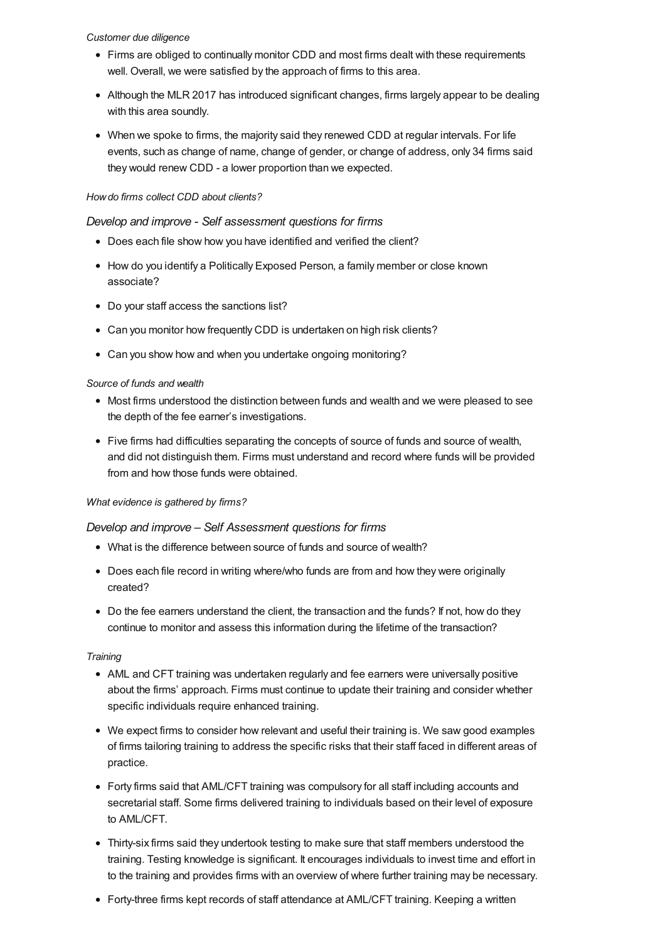#### *Customer due diligence*

- Firms are obliged to continually monitor CDD and most firms dealt with these requirements well. Overall, we were satisfied by the approach of firms to this area.
- Although the MLR 2017 has introduced significant changes, firms largely appear to be dealing with this area soundly.
- When we spoke to firms, the majority said they renewed CDD at regular intervals. For life events, such as change of name, change of gender, or change of address, only 34 firms said they would renew CDD - a lower proportion than we expected.

#### *Howdo firms collect CDD about clients?*

## *Develop and improve - Self assessment questions for firms*

- Does each file show how you have identified and verified the client?
- How do you identify a Politically Exposed Person, a family member or close known associate?
- Do your staff access the sanctions list?
- Can you monitor how frequently CDD is undertaken on high risk clients?
- Can you show how and when you undertake ongoing monitoring?

#### *Source of funds and wealth*

- Most firms understood the distinction between funds and wealth and we were pleased to see the depth of the fee earner's investigations.
- Five firms had difficulties separating the concepts of source of funds and source of wealth, and did not distinguish them. Firms must understand and record where funds will be provided from and how those funds were obtained.

#### *What evidence is gathered by firms?*

#### *Develop and improve – Self Assessment questions for firms*

- What is the difference between source of funds and source of wealth?
- Does each file record in writing where/who funds are from and how they were originally created?
- Do the fee earners understand the client, the transaction and the funds? If not, how do they continue to monitor and assess this information during the lifetime of the transaction?

#### *Training*

- AML and CFT training was undertaken regularly and fee earners were universally positive about the firms' approach. Firms must continue to update their training and consider whether specific individuals require enhanced training.
- We expect firms to consider how relevant and useful their training is. We saw good examples of firms tailoring training to address the specific risks that their staff faced in different areas of practice.
- Forty firms said that AML/CFT training was compulsory for all staff including accounts and secretarial staff. Some firms delivered training to individuals based on their level of exposure to AML/CFT.
- Thirty-six firms said they undertook testing to make sure that staff members understood the training. Testing knowledge is significant. It encourages individuals to invest time and effort in to the training and provides firms with an overview of where further training may be necessary.
- Forty-three firms kept records of staff attendance at AML/CFT training. Keeping a written